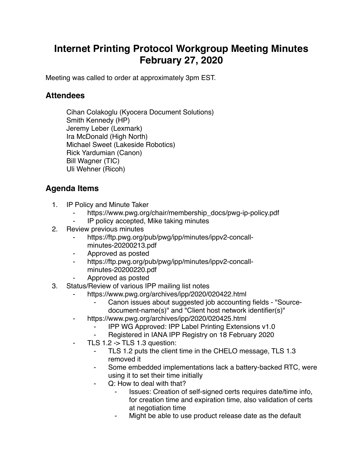## **Internet Printing Protocol Workgroup Meeting Minutes February 27, 2020**

Meeting was called to order at approximately 3pm EST.

## **Attendees**

Cihan Colakoglu (Kyocera Document Solutions) Smith Kennedy (HP) Jeremy Leber (Lexmark) Ira McDonald (High North) Michael Sweet (Lakeside Robotics) Rick Yardumian (Canon) Bill Wagner (TIC) Uli Wehner (Ricoh)

## **Agenda Items**

- 1. IP Policy and Minute Taker
	- https://www.pwg.org/chair/membership\_docs/pwg-ip-policy.pdf
	- IP policy accepted, Mike taking minutes
- 2. Review previous minutes
	- https://ftp.pwg.org/pub/pwg/ipp/minutes/ippv2-concallminutes-20200213.pdf
	- ⁃ Approved as posted
	- ⁃ https://ftp.pwg.org/pub/pwg/ipp/minutes/ippv2-concallminutes-20200220.pdf
	- ⁃ Approved as posted
- 3. Status/Review of various IPP mailing list notes
	- https://www.pwg.org/archives/ipp/2020/020422.html
		- ⁃ Canon issues about suggested job accounting fields "Sourcedocument-name(s)" and "Client host network identifier(s)"
	- https://www.pwg.org/archives/ipp/2020/020425.html
		- ⁃ IPP WG Approved: IPP Label Printing Extensions v1.0
		- Registered in IANA IPP Registry on 18 February 2020
	- TLS  $1.2 \rightarrow$  TLS  $1.3$  question:
		- ⁃ TLS 1.2 puts the client time in the CHELO message, TLS 1.3 removed it
		- ⁃ Some embedded implementations lack a battery-backed RTC, were using it to set their time initially
		- Q: How to deal with that?
			- ⁃ Issues: Creation of self-signed certs requires date/time info, for creation time and expiration time, also validation of certs at negotiation time
			- ⁃ Might be able to use product release date as the default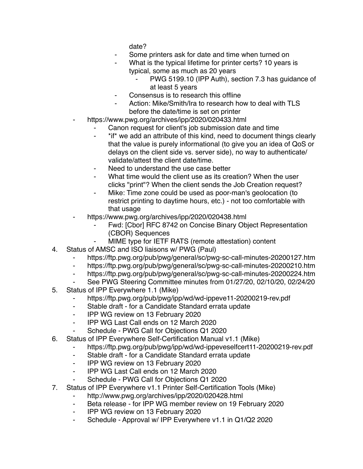date?

- Some printers ask for date and time when turned on
- What is the typical lifetime for printer certs? 10 years is typical, some as much as 20 years
	- PWG 5199.10 (IPP Auth), section 7.3 has guidance of at least 5 years
- Consensus is to research this offline
- Action: Mike/Smith/Ira to research how to deal with TLS before the date/time is set on printer
- https://www.pwg.org/archives/ipp/2020/020433.html
	- Canon request for client's job submission date and time
	- ⁃ \*if\* we add an attribute of this kind, need to document things clearly that the value is purely informational (to give you an idea of QoS or delays on the client side vs. server side), no way to authenticate/ validate/attest the client date/time.
	- Need to understand the use case better
	- ⁃ What time would the client use as its creation? When the user clicks "print"? When the client sends the Job Creation request?
	- Mike: Time zone could be used as poor-man's geolocation (to restrict printing to daytime hours, etc.) - not too comfortable with that usage
- https://www.pwg.org/archives/ipp/2020/020438.html
	- Fwd: [Cbor] RFC 8742 on Concise Binary Object Representation (CBOR) Sequences
	- MIME type for IETF RATS (remote attestation) content
- 4. Status of AMSC and ISO liaisons w/ PWG (Paul)
	- ⁃ https://ftp.pwg.org/pub/pwg/general/sc/pwg-sc-call-minutes-20200127.htm
	- ⁃ https://ftp.pwg.org/pub/pwg/general/sc/pwg-sc-call-minutes-20200210.htm
	- ⁃ https://ftp.pwg.org/pub/pwg/general/sc/pwg-sc-call-minutes-20200224.htm
	- ⁃ See PWG Steering Committee minutes from 01/27/20, 02/10/20, 02/24/20
- 5. Status of IPP Everywhere 1.1 (Mike)
	- ⁃ https://ftp.pwg.org/pub/pwg/ipp/wd/wd-ippeve11-20200219-rev.pdf
	- Stable draft for a Candidate Standard errata update
	- ⁃ IPP WG review on 13 February 2020
	- ⁃ IPP WG Last Call ends on 12 March 2020
	- Schedule PWG Call for Objections Q1 2020
- 6. Status of IPP Everywhere Self-Certification Manual v1.1 (Mike)
	- ⁃ https://ftp.pwg.org/pub/pwg/ipp/wd/wd-ippeveselfcert11-20200219-rev.pdf
	- ⁃ Stable draft for a Candidate Standard errata update
	- ⁃ IPP WG review on 13 February 2020
	- ⁃ IPP WG Last Call ends on 12 March 2020
	- ⁃ Schedule PWG Call for Objections Q1 2020
- 7. Status of IPP Everywhere v1.1 Printer Self-Certification Tools (Mike)
	- ⁃ http://www.pwg.org/archives/ipp/2020/020428.html
	- ⁃ Beta release for IPP WG member review on 19 February 2020
	- IPP WG review on 13 February 2020
	- ⁃ Schedule Approval w/ IPP Everywhere v1.1 in Q1/Q2 2020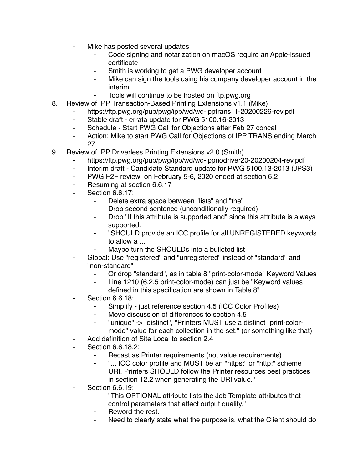- Mike has posted several updates
	- Code signing and notarization on macOS require an Apple-issued certificate
	- Smith is working to get a PWG developer account
	- Mike can sign the tools using his company developer account in the interim
	- Tools will continue to be hosted on ftp.pwg.org
- 8. Review of IPP Transaction-Based Printing Extensions v1.1 (Mike)
	- ⁃ https://ftp.pwg.org/pub/pwg/ipp/wd/wd-ipptrans11-20200226-rev.pdf
	- ⁃ Stable draft errata update for PWG 5100.16-2013
	- ⁃ Schedule Start PWG Call for Objections after Feb 27 concall
	- ⁃ Action: Mike to start PWG Call for Objections of IPP TRANS ending March 27
- 9. Review of IPP Driverless Printing Extensions v2.0 (Smith)
	- ⁃ https://ftp.pwg.org/pub/pwg/ipp/wd/wd-ippnodriver20-20200204-rev.pdf
	- Interim draft Candidate Standard update for PWG 5100.13-2013 (JPS3)
	- ⁃ PWG F2F review on February 5-6, 2020 ended at section 6.2
	- Resuming at section 6.6.17
	- Section 6.6.17:
		- ⁃ Delete extra space between "lists" and "the"
		- ⁃ Drop second sentence (unconditionally required)
		- ⁃ Drop "If this attribute is supported and" since this attribute is always supported.
		- ⁃ "SHOULD provide an ICC profile for all UNREGISTERED keywords to allow a ..."
		- Maybe turn the SHOULDs into a bulleted list
	- Global: Use "registered" and "unregistered" instead of "standard" and "non-standard"
		- Or drop "standard", as in table 8 "print-color-mode" Keyword Values
		- Line 1210 (6.2.5 print-color-mode) can just be "Keyword values defined in this specification are shown in Table 8"
	- **Section 6.6.18:** 
		- Simplify just reference section 4.5 (ICC Color Profiles)
		- ⁃ Move discussion of differences to section 4.5
		- ⁃ "unique" -> "distinct", "Printers MUST use a distinct "print-colormode" value for each collection in the set." (or something like that)
	- Add definition of Site Local to section 2.4
	- Section 6.6.18.2:
		- Recast as Printer requirements (not value requirements)
		- "... ICC color profile and MUST be an "https:" or "http:" scheme URI. Printers SHOULD follow the Printer resources best practices in section 12.2 when generating the URI value."
	- **Section 6.6.19:** 
		- ⁃ "This OPTIONAL attribute lists the Job Template attributes that control parameters that affect output quality."
		- Reword the rest.
		- Need to clearly state what the purpose is, what the Client should do